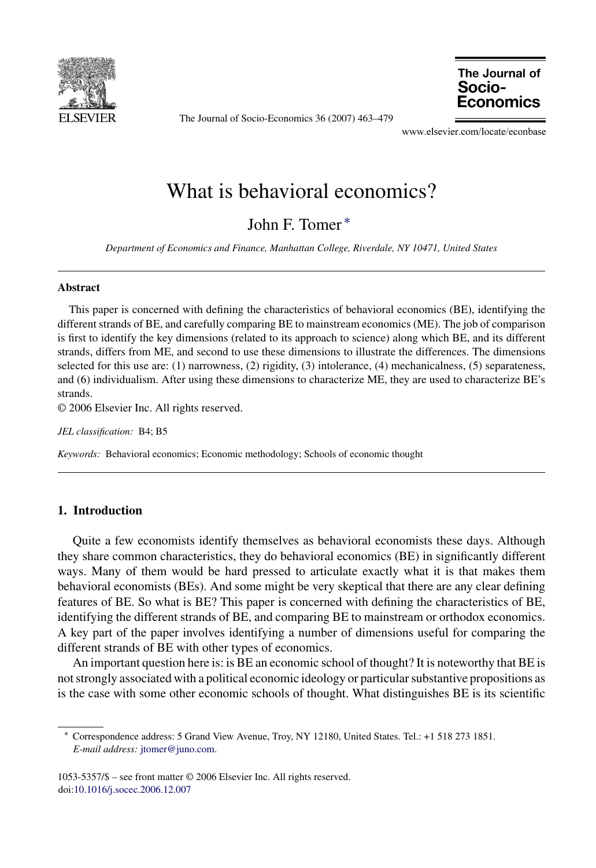

The Journal of Socio-Economics 36 (2007) 463–479

The Journal of Socio-Economics

www.elsevier.com/locate/econbase

# What is behavioral economics?

John F. Tomer ∗

*Department of Economics and Finance, Manhattan College, Riverdale, NY 10471, United States*

#### **Abstract**

This paper is concerned with defining the characteristics of behavioral economics (BE), identifying the different strands of BE, and carefully comparing BE to mainstream economics (ME). The job of comparison is first to identify the key dimensions (related to its approach to science) along which BE, and its different strands, differs from ME, and second to use these dimensions to illustrate the differences. The dimensions selected for this use are: (1) narrowness, (2) rigidity, (3) intolerance, (4) mechanicalness, (5) separateness, and (6) individualism. After using these dimensions to characterize ME, they are used to characterize BE's strands.

© 2006 Elsevier Inc. All rights reserved.

*JEL classification:* B4; B5

*Keywords:* Behavioral economics; Economic methodology; Schools of economic thought

## **1. Introduction**

Quite a few economists identify themselves as behavioral economists these days. Although they share common characteristics, they do behavioral economics (BE) in significantly different ways. Many of them would be hard pressed to articulate exactly what it is that makes them behavioral economists (BEs). And some might be very skeptical that there are any clear defining features of BE. So what is BE? This paper is concerned with defining the characteristics of BE, identifying the different strands of BE, and comparing BE to mainstream or orthodox economics. A key part of the paper involves identifying a number of dimensions useful for comparing the different strands of BE with other types of economics.

An important question here is: is BE an economic school of thought? It is noteworthy that BE is not strongly associated with a political economic ideology or particular substantive propositions as is the case with some other economic schools of thought. What distinguishes BE is its scientific

<sup>∗</sup> Correspondence address: 5 Grand View Avenue, Troy, NY 12180, United States. Tel.: +1 518 273 1851. *E-mail address:* [jtomer@juno.com](mailto:jtomer@juno.com).

<sup>1053-5357/\$ –</sup> see front matter © 2006 Elsevier Inc. All rights reserved. doi[:10.1016/j.socec.2006.12.007](dx.doi.org/10.1016/j.socec.2006.12.007)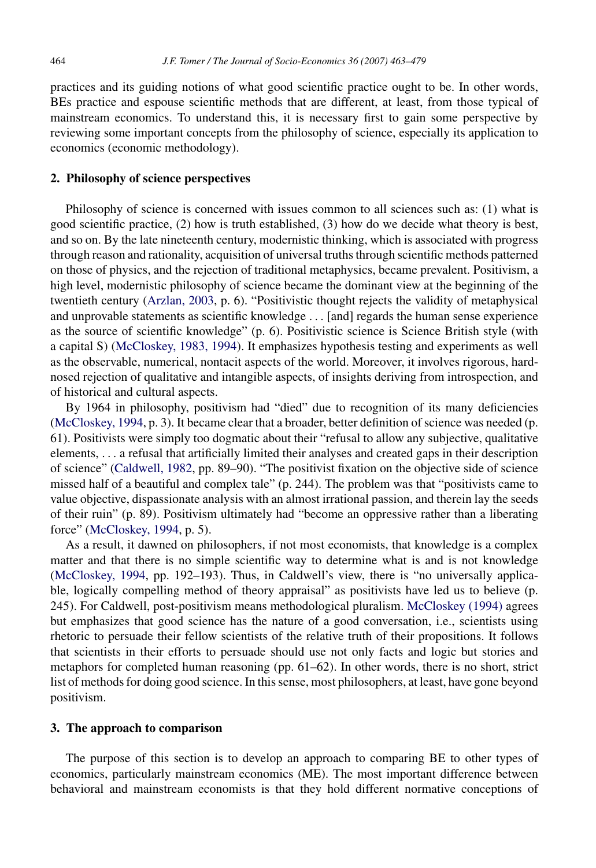practices and its guiding notions of what good scientific practice ought to be. In other words, BEs practice and espouse scientific methods that are different, at least, from those typical of mainstream economics. To understand this, it is necessary first to gain some perspective by reviewing some important concepts from the philosophy of science, especially its application to economics (economic methodology).

#### **2. Philosophy of science perspectives**

Philosophy of science is concerned with issues common to all sciences such as: (1) what is good scientific practice, (2) how is truth established, (3) how do we decide what theory is best, and so on. By the late nineteenth century, modernistic thinking, which is associated with progress through reason and rationality, acquisition of universal truths through scientific methods patterned on those of physics, and the rejection of traditional metaphysics, became prevalent. Positivism, a high level, modernistic philosophy of science became the dominant view at the beginning of the twentieth century [\(Arzlan, 2003,](#page--1-0) p. 6). "Positivistic thought rejects the validity of metaphysical and unprovable statements as scientific knowledge ... [and] regards the human sense experience as the source of scientific knowledge" (p. 6). Positivistic science is Science British style (with a capital S) ([McCloskey, 1983, 1994\).](#page--1-0) It emphasizes hypothesis testing and experiments as well as the observable, numerical, nontacit aspects of the world. Moreover, it involves rigorous, hardnosed rejection of qualitative and intangible aspects, of insights deriving from introspection, and of historical and cultural aspects.

By 1964 in philosophy, positivism had "died" due to recognition of its many deficiencies ([McCloskey, 1994, p](#page--1-0). 3). It became clear that a broader, better definition of science was needed (p. 61). Positivists were simply too dogmatic about their "refusal to allow any subjective, qualitative elements, ... a refusal that artificially limited their analyses and created gaps in their description of science" ([Caldwell, 1982, p](#page--1-0)p. 89–90). "The positivist fixation on the objective side of science missed half of a beautiful and complex tale" (p. 244). The problem was that "positivists came to value objective, dispassionate analysis with an almost irrational passion, and therein lay the seeds of their ruin" (p. 89). Positivism ultimately had "become an oppressive rather than a liberating force" [\(McCloskey, 1994,](#page--1-0) p. 5).

As a result, it dawned on philosophers, if not most economists, that knowledge is a complex matter and that there is no simple scientific way to determine what is and is not knowledge ([McCloskey, 1994,](#page--1-0) pp. 192–193). Thus, in Caldwell's view, there is "no universally applicable, logically compelling method of theory appraisal" as positivists have led us to believe (p. 245). For Caldwell, post-positivism means methodological pluralism. [McCloskey \(1994\)](#page--1-0) agrees but emphasizes that good science has the nature of a good conversation, i.e., scientists using rhetoric to persuade their fellow scientists of the relative truth of their propositions. It follows that scientists in their efforts to persuade should use not only facts and logic but stories and metaphors for completed human reasoning (pp. 61–62). In other words, there is no short, strict list of methods for doing good science. In this sense, most philosophers, at least, have gone beyond positivism.

### **3. The approach to comparison**

The purpose of this section is to develop an approach to comparing BE to other types of economics, particularly mainstream economics (ME). The most important difference between behavioral and mainstream economists is that they hold different normative conceptions of